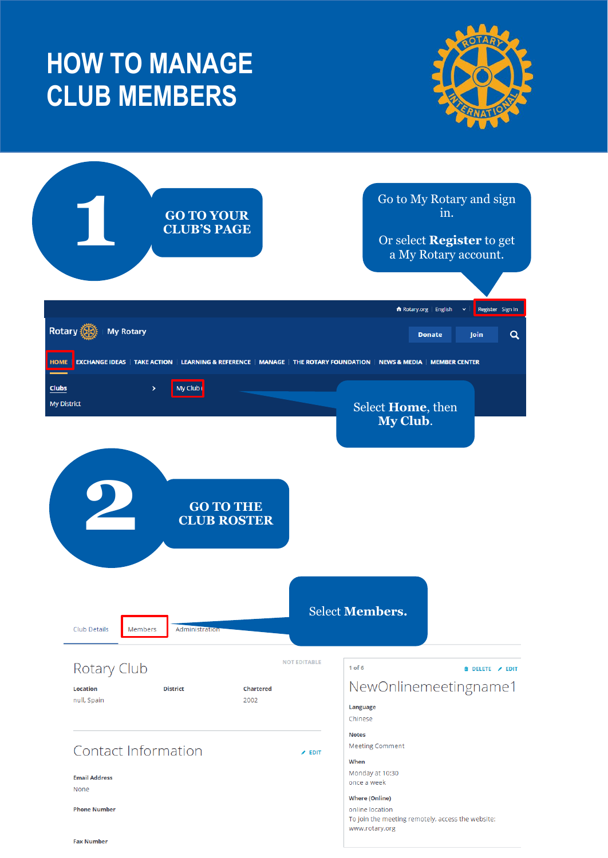# **HOW TO MANAGE CLUB MEMBERS**



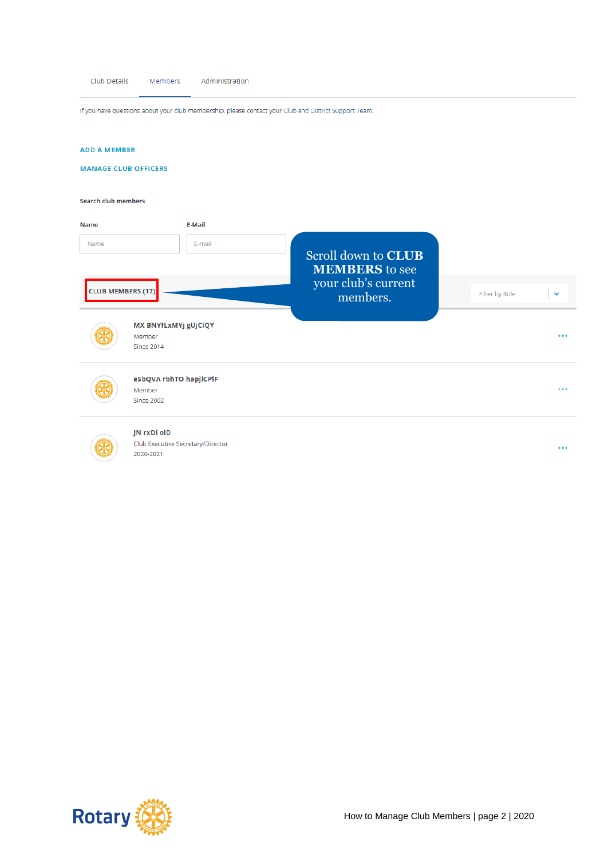Club Details Members Administration

If you have questions about your club membership, please contact your Club and District Support Team.

#### **ADD A MEMBER**

#### **MANAGE CLUB OFFICERS**

Search club members

| <b>Name</b>              | <b>E-Mail</b>                                                 |                                                     |                |              |
|--------------------------|---------------------------------------------------------------|-----------------------------------------------------|----------------|--------------|
| Name                     | E-mail                                                        | Scroll down to <b>CLUB</b><br><b>MEMBERS</b> to see |                |              |
| <b>CLUB MEMBERS (17)</b> |                                                               | your club's current<br>members.                     | Filter by Role | $\checkmark$ |
|                          | MX BNYfLxMYj gUjClQY<br>Member<br>Since 2014                  |                                                     |                |              |
|                          | eSbQVA rbhTO hapjlCPlF<br>Member<br>Since 2002                |                                                     |                |              |
|                          | JN rxDi olD<br>Club Executive Secretary/Director<br>2020-2021 |                                                     |                |              |

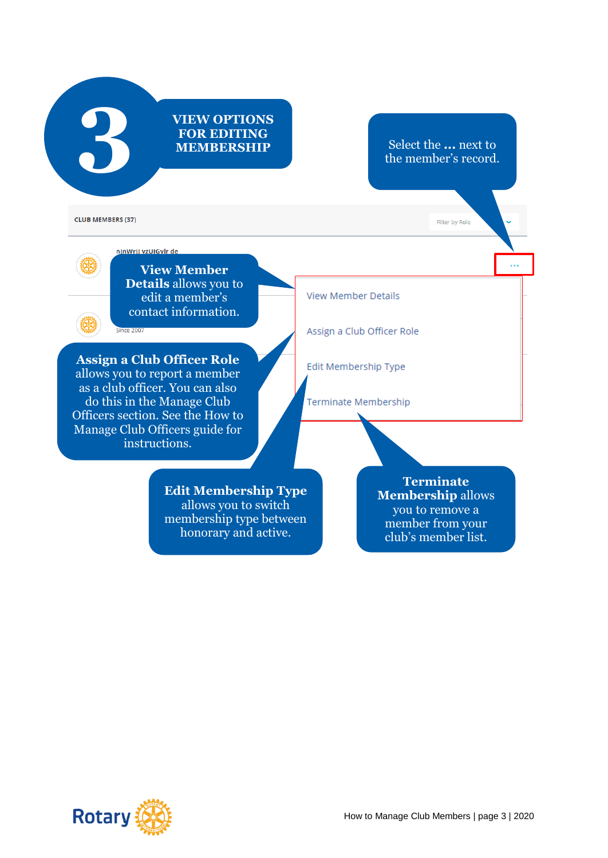## **VIEW OPTIONS FOR EDITING MEMBERSHIP**

Select the **...** next to the member's record.

Filter by Role

**CLUB MEMBERS (37)** 

**3**

njnWrll vzUlGvir de

Since 2001

**View Member Details** allows you to edit a member's contact information.

**Assign a Club Officer Role** allows you to report a member as a club officer. You can also do this in the Manage Club Officers section. See the How to Manage Club Officers guide for instructions.

**View Member Details** 

Assign a Club Officer Role

Edit Membership Type

Terminate Membership

## **Edit Membership Type** allows you to switch

membership type between honorary and active.

**Terminate Membership** allows you to remove a member from your club's member list.

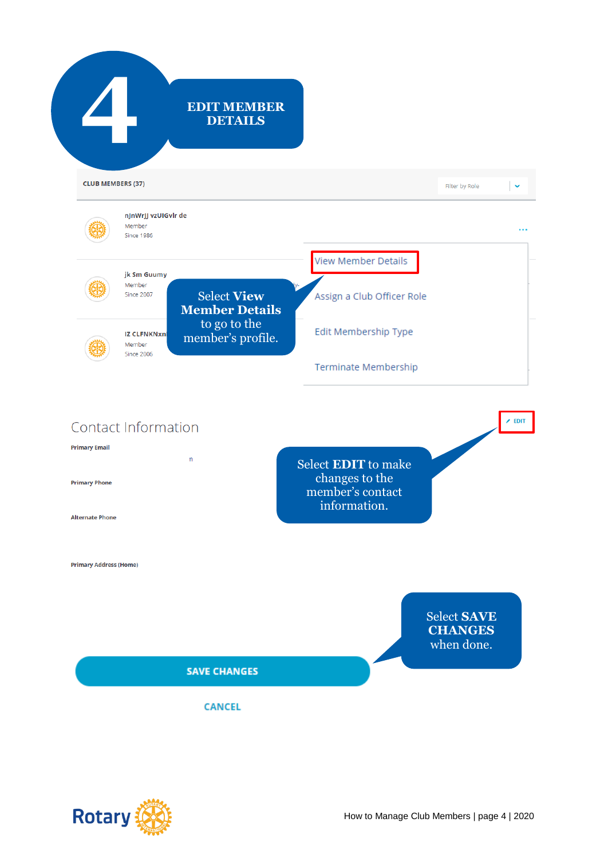

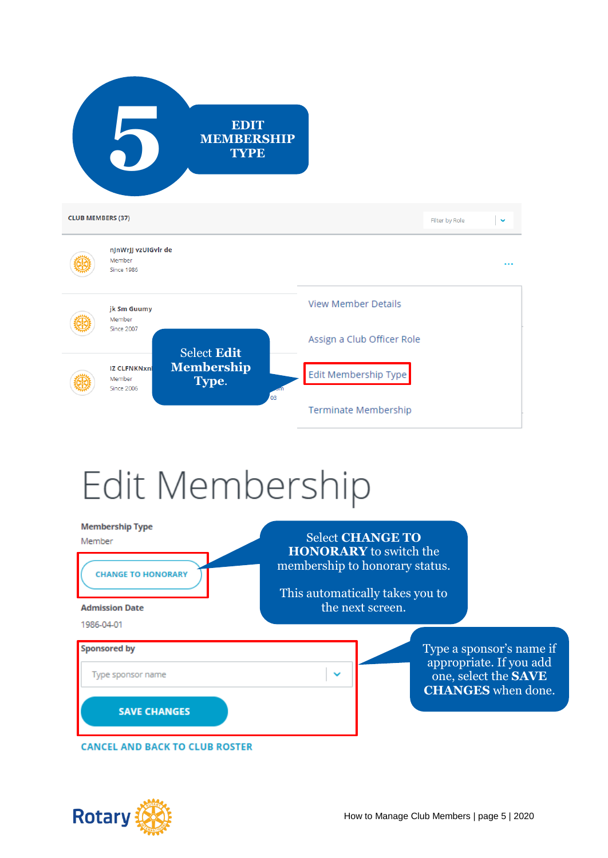

**CANCEL AND BACK TO CLUB ROSTER** 

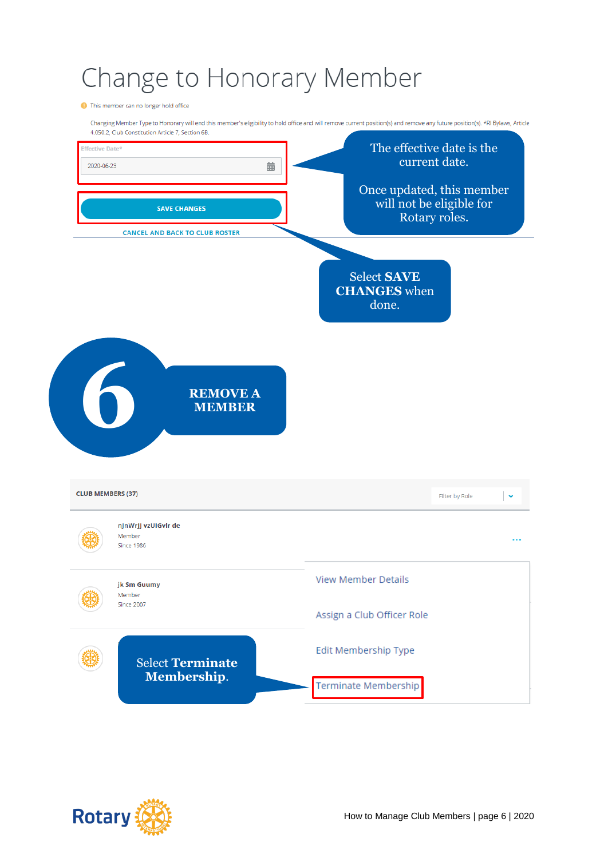# Change to Honorary Member

#### This member can no longer hold office



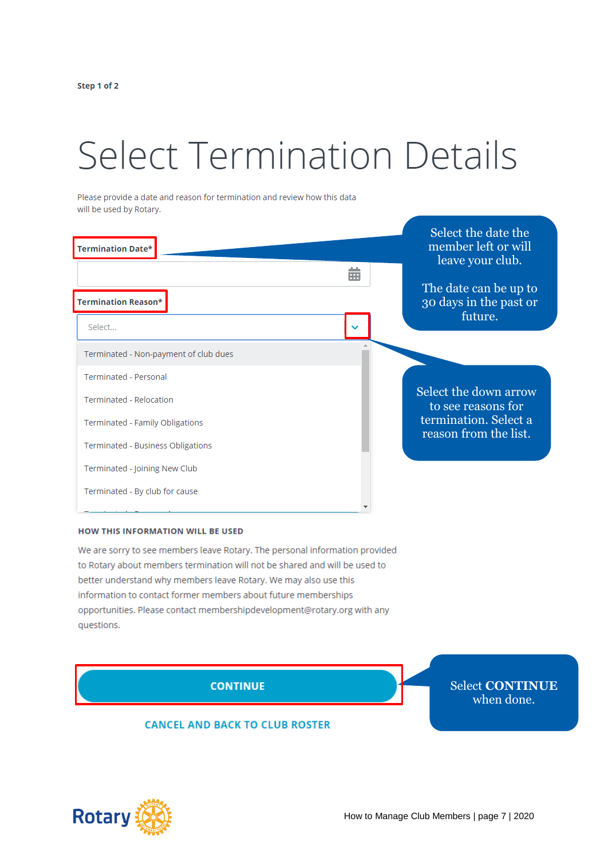# **Select Termination Details**

Please provide a date and reason for termination and review how this data will be used by Rotary.

| <b>Termination Date*</b>                                        | Select the date the<br>member left or will<br>leave your club.  |
|-----------------------------------------------------------------|-----------------------------------------------------------------|
| <b>Termination Reason*</b>                                      | 蘦<br>The date can be up to<br>30 days in the past or<br>future. |
| Select<br>Terminated - Non-payment of club dues                 |                                                                 |
| Terminated - Personal                                           | Select the down arrow                                           |
| Terminated - Relocation<br>Terminated - Family Obligations      | to see reasons for<br>termination. Select a                     |
| Terminated - Business Obligations                               | reason from the list.                                           |
| Terminated - Joining New Club<br>Terminated - By club for cause |                                                                 |
|                                                                 |                                                                 |

### **HOW THIS INFORMATION WILL BE USED**

We are sorry to see members leave Rotary. The personal information provided to Rotary about members termination will not be shared and will be used to better understand why members leave Rotary. We may also use this information to contact former members about future memberships opportunities. Please contact membershipdevelopment@rotary.org with any questions.

**CONTINUE** 

Select **CONTINUE** when done.

### **CANCEL AND BACK TO CLUB ROSTER**